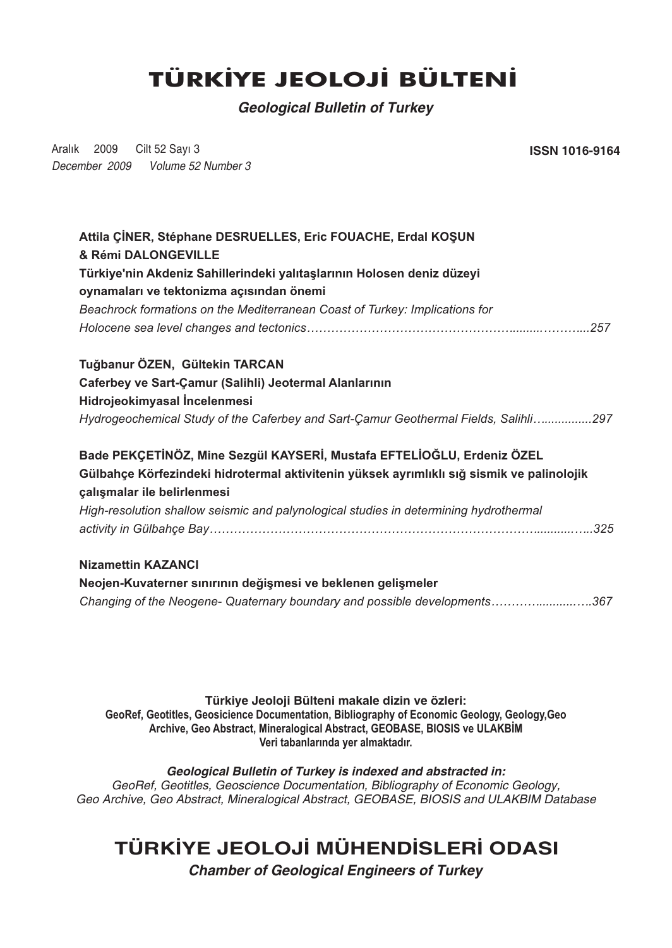## **TÜRKİYE JEOLOJİ BÜLTENİ**

*Geological Bulletin of Turkey*

Aralık 2009 Cilt 52 Sayı 3 *December 2009 Volume 52 Number 3* **ISSN 1016-9164** 

*Changing of the Neogene- Quaternary boundary and possible developments…………...........….367*

**Türkiye Jeoloji Bülteni makale dizin ve özleri: GeoRef, Geotitles, Geosicience Documentation, Bibliography of Economic Geology, Geology,Geo** Archive, Geo Abstract, Mineralogical Abstract, GEOBASE, BIOSIS ve ULAKBIM Veri tabanlarında yer almaktadır.

*Geological Bulletin of Turkey is indexed and abstracted in: GeoRef, Geotitles, Geoscience Documentation, Bibliography of Economic Geology, Geo Archive, Geo Abstract, Mineralogical Abstract, GEOBASE, BIOSIS and ULAKBIM Database*

## **TÜRKÝYE JEOLOJÝ MÜHENDÝSLERÝ ODASI**

*Chamber of Geological Engineers of Turkey*